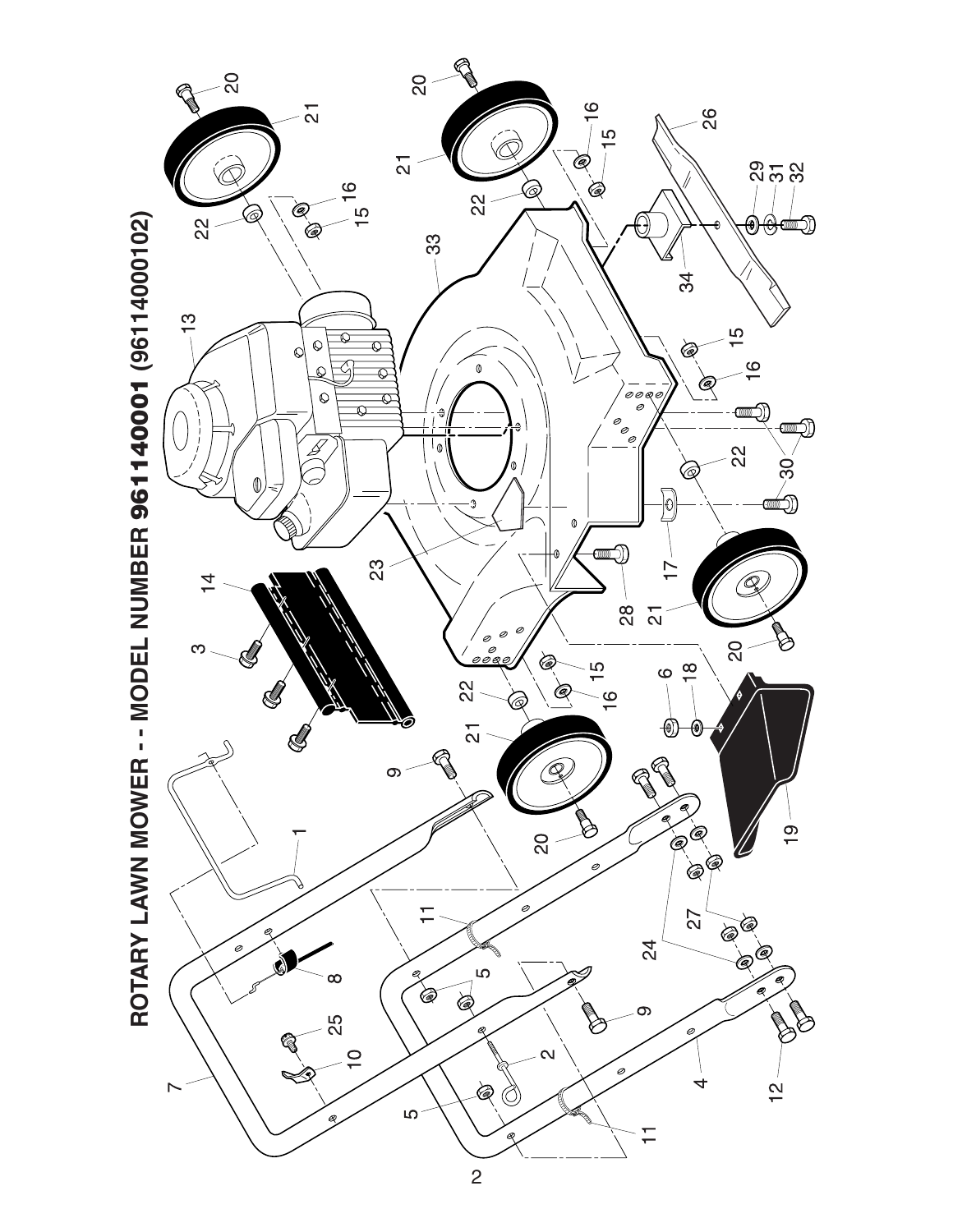